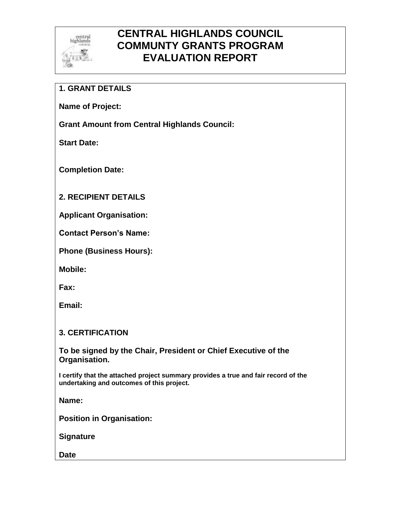

## **CENTRAL HIGHLANDS COUNCIL COMMUNTY GRANTS PROGRAM EVALUATION REPORT**

## **1. GRANT DETAILS**

**Name of Project:**

**Grant Amount from Central Highlands Council:**

**Start Date:**

**Completion Date:**

## **2. RECIPIENT DETAILS**

**Applicant Organisation:**

**Contact Person's Name:**

**Phone (Business Hours):** 

**Mobile:** 

**Fax:**

**Email:**

## **3. CERTIFICATION**

**To be signed by the Chair, President or Chief Executive of the Organisation.**

**I certify that the attached project summary provides a true and fair record of the undertaking and outcomes of this project.**

**Name:**

**Position in Organisation:**

**Signature**

**Date**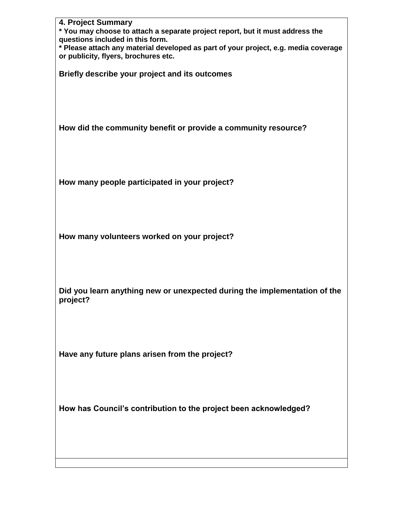| 4. Project Summary<br>* You may choose to attach a separate project report, but it must address the<br>questions included in this form.<br>* Please attach any material developed as part of your project, e.g. media coverage |
|--------------------------------------------------------------------------------------------------------------------------------------------------------------------------------------------------------------------------------|
| or publicity, flyers, brochures etc.<br>Briefly describe your project and its outcomes                                                                                                                                         |
|                                                                                                                                                                                                                                |
| How did the community benefit or provide a community resource?                                                                                                                                                                 |
|                                                                                                                                                                                                                                |
| How many people participated in your project?                                                                                                                                                                                  |
|                                                                                                                                                                                                                                |
| How many volunteers worked on your project?                                                                                                                                                                                    |
|                                                                                                                                                                                                                                |
| Did you learn anything new or unexpected during the implementation of the<br>project?                                                                                                                                          |
|                                                                                                                                                                                                                                |
| Have any future plans arisen from the project?                                                                                                                                                                                 |
|                                                                                                                                                                                                                                |
| How has Council's contribution to the project been acknowledged?                                                                                                                                                               |
|                                                                                                                                                                                                                                |